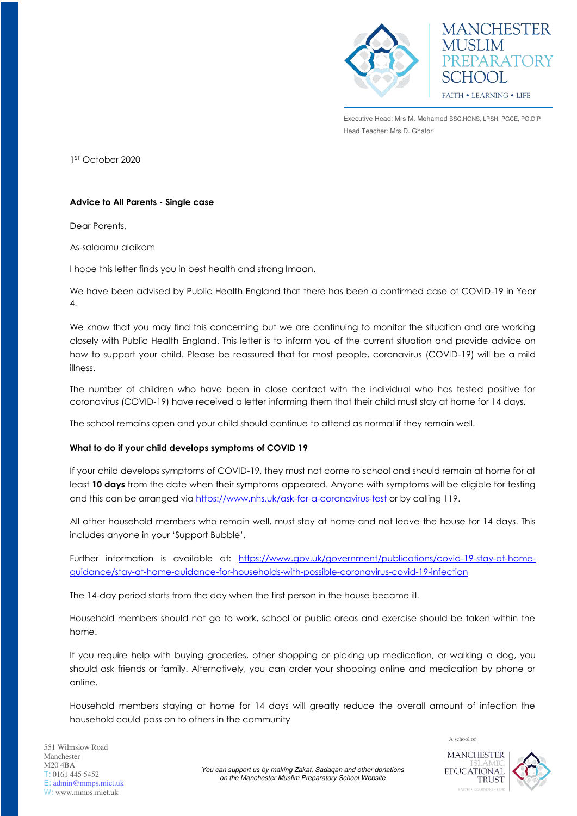

**MANCHESTER MUSLIM** PREPARATORY **SCHOOL** FAITH . LEARNING . LIFE

Executive Head: Mrs M. Mohamed BSC.HONS, LPSH, PGCE, PG.DIP Head Teacher: Mrs D. Ghafori

1 ST October 2020

## **Advice to All Parents - Single case**

Dear Parents,

As-salaamu alaikom

I hope this letter finds you in best health and strong Imaan.

We have been advised by Public Health England that there has been a confirmed case of COVID-19 in Year 4.

We know that you may find this concerning but we are continuing to monitor the situation and are working closely with Public Health England. This letter is to inform you of the current situation and provide advice on how to support your child. Please be reassured that for most people, coronavirus (COVID-19) will be a mild illness.

The number of children who have been in close contact with the individual who has tested positive for coronavirus (COVID-19) have received a letter informing them that their child must stay at home for 14 days.

The school remains open and your child should continue to attend as normal if they remain well.

## **What to do if your child develops symptoms of COVID 19**

If your child develops symptoms of COVID-19, they must not come to school and should remain at home for at least **10 days** from the date when their symptoms appeared. Anyone with symptoms will be eligible for testing and this can be arranged via<https://www.nhs.uk/ask-for-a-coronavirus-test>or by calling 119.

All other household members who remain well, must stay at home and not leave the house for 14 days. This includes anyone in your 'Support Bubble'.

Further information is available at: [https://www.gov.uk/government/publications/covid-19-stay-at-home](https://www.gov.uk/government/publications/covid-19-stay-at-home-guidance/stay-at-home-guidance-for-households-with-possible-coronavirus-covid-19-infection)[guidance/stay-at-home-guidance-for-households-with-possible-coronavirus-covid-19-infection](https://www.gov.uk/government/publications/covid-19-stay-at-home-guidance/stay-at-home-guidance-for-households-with-possible-coronavirus-covid-19-infection) 

The 14-day period starts from the day when the first person in the house became ill.

Household members should not go to work, school or public areas and exercise should be taken within the home.

If you require help with buying groceries, other shopping or picking up medication, or walking a dog, you should ask friends or family. Alternatively, you can order your shopping online and medication by phone or online.

Household members staying at home for 14 days will greatly reduce the overall amount of infection the household could pass on to others in the community



A school of

*You can support us by making Zakat, Sadaqah and other donations on the Manchester Muslim Preparatory School Website*